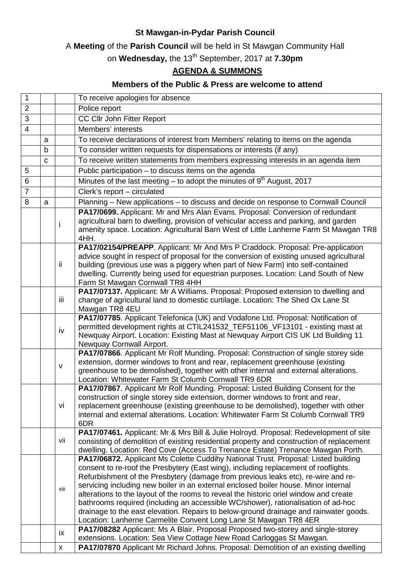## **St Mawgan-in-Pydar Parish Council**

A **Meeting** of the **Parish Council** will be held in St Mawgan Community Hall

on **Wednesday,** the 13th September, 2017 at **7.30pm**

## **AGENDA & SUMMONS**

## **Members of the Public & Press are welcome to attend**

| $\mathbf{1}$   |             |                    | To receive apologies for absence                                                                                                                                                                                                                                                                                                                                                                                                                                                                                                                                                                                                                                                                                                                                                     |
|----------------|-------------|--------------------|--------------------------------------------------------------------------------------------------------------------------------------------------------------------------------------------------------------------------------------------------------------------------------------------------------------------------------------------------------------------------------------------------------------------------------------------------------------------------------------------------------------------------------------------------------------------------------------------------------------------------------------------------------------------------------------------------------------------------------------------------------------------------------------|
| $\overline{2}$ |             |                    | Police report                                                                                                                                                                                                                                                                                                                                                                                                                                                                                                                                                                                                                                                                                                                                                                        |
| 3              |             |                    | CC Cllr John Fitter Report                                                                                                                                                                                                                                                                                                                                                                                                                                                                                                                                                                                                                                                                                                                                                           |
| $\overline{4}$ |             |                    | Members' interests                                                                                                                                                                                                                                                                                                                                                                                                                                                                                                                                                                                                                                                                                                                                                                   |
|                | a           |                    | To receive declarations of interest from Members' relating to items on the agenda                                                                                                                                                                                                                                                                                                                                                                                                                                                                                                                                                                                                                                                                                                    |
|                | $\mathbf b$ |                    | To consider written requests for dispensations or interests (if any)                                                                                                                                                                                                                                                                                                                                                                                                                                                                                                                                                                                                                                                                                                                 |
|                | C           |                    | To receive written statements from members expressing interests in an agenda item                                                                                                                                                                                                                                                                                                                                                                                                                                                                                                                                                                                                                                                                                                    |
| 5              |             |                    | Public participation - to discuss items on the agenda                                                                                                                                                                                                                                                                                                                                                                                                                                                                                                                                                                                                                                                                                                                                |
| $6\phantom{1}$ |             |                    | Minutes of the last meeting $-$ to adopt the minutes of $9th$ August, 2017                                                                                                                                                                                                                                                                                                                                                                                                                                                                                                                                                                                                                                                                                                           |
| $\overline{7}$ |             |                    | Clerk's report - circulated                                                                                                                                                                                                                                                                                                                                                                                                                                                                                                                                                                                                                                                                                                                                                          |
| 8              | a           |                    | Planning - New applications - to discuss and decide on response to Cornwall Council                                                                                                                                                                                                                                                                                                                                                                                                                                                                                                                                                                                                                                                                                                  |
|                |             |                    | PA17/0699. Applicant: Mr and Mrs Alan Evans. Proposal: Conversion of redundant                                                                                                                                                                                                                                                                                                                                                                                                                                                                                                                                                                                                                                                                                                       |
|                |             | i.                 | agricultural barn to dwelling, provision of vehicular access and parking, and garden<br>amenity space. Location: Agricultural Barn West of Little Lanherne Farm St Mawgan TR8<br>4HH.                                                                                                                                                                                                                                                                                                                                                                                                                                                                                                                                                                                                |
|                |             | ii                 | PA17/02154/PREAPP. Applicant: Mr And Mrs P Craddock. Proposal: Pre-application<br>advice sought in respect of proposal for the conversion of existing unused agricultural<br>building (previous use was a piggery when part of New Farm) into self-contained<br>dwelling. Currently being used for equestrian purposes. Location: Land South of New<br>Farm St Mawgan Cornwall TR8 4HH                                                                                                                                                                                                                                                                                                                                                                                               |
|                |             | iii                | PA17/07137. Applicant: Mr A Williams. Proposal: Proposed extension to dwelling and<br>change of agricultural land to domestic curtilage. Location: The Shed Ox Lane St<br>Mawgan TR8 4EU                                                                                                                                                                                                                                                                                                                                                                                                                                                                                                                                                                                             |
|                |             | iv                 | PA17/07785. Applicant Telefonica (UK) and Vodafone Ltd. Proposal: Notification of<br>permitted development rights at CTIL241532_TEF51106_VF13101 - existing mast at<br>Newquay Airport. Location: Existing Mast at Newquay Airport CIS UK Ltd Building 11<br>Newquay Cornwall Airport.                                                                                                                                                                                                                                                                                                                                                                                                                                                                                               |
|                |             | $\mathsf{V}$       | PA17/07866. Applicant Mr Rolf Munding. Proposal: Construction of single storey side<br>extension, dormer windows to front and rear, replacement greenhouse (existing<br>greenhouse to be demolished), together with other internal and external alterations.<br>Location: Whitewater Farm St Columb Cornwall TR9 6DR                                                                                                                                                                                                                                                                                                                                                                                                                                                                 |
|                |             | vi                 | PA17/07867. Applicant Mr Rolf Munding. Proposal: Listed Building Consent for the<br>construction of single storey side extension, dormer windows to front and rear,<br>replacement greenhouse (existing greenhouse to be demolished), together with other<br>internal and external alterations. Location: Whitewater Farm St Columb Cornwall TR9<br>6DR                                                                                                                                                                                                                                                                                                                                                                                                                              |
|                |             | vii                | PA17/07461. Applicant: Mr & Mrs Bill & Julie Holroyd. Proposal: Redevelopment of site<br>consisting of demolition of existing residential property and construction of replacement<br>dwelling. Location: Red Cove (Access To Trenance Estate) Trenance Mawgan Porth.                                                                                                                                                                                                                                                                                                                                                                                                                                                                                                                |
|                |             | viii               | PA17/06872. Applicant Ms Colette Cuddihy National Trust. Proposal: Listed building<br>consent to re-roof the Presbytery (East wing), including replacement of rooflights.<br>Refurbishment of the Presbytery (damage from previous leaks etc), re-wire and re-<br>servicing including new boiler in an external enclosed boiler house. Minor internal<br>alterations to the layout of the rooms to reveal the historic oriel window and create<br>bathrooms required (including an accessible WC/shower), rationalisation of ad-hoc<br>drainage to the east elevation. Repairs to below-ground drainage and rainwater goods.<br>Location: Lanherne Carmelite Convent Long Lane St Mawgan TR8 4ER<br>PA17/08282 Applicant: Ms A Blair. Proposal Proposed two-storey and single-storey |
|                |             | ix                 | extensions. Location: Sea View Cottage New Road Carloggas St Mawgan.                                                                                                                                                                                                                                                                                                                                                                                                                                                                                                                                                                                                                                                                                                                 |
|                |             | $\pmb{\mathsf{X}}$ | PA17/07870 Applicant Mr Richard Johns. Proposal: Demolition of an existing dwelling                                                                                                                                                                                                                                                                                                                                                                                                                                                                                                                                                                                                                                                                                                  |